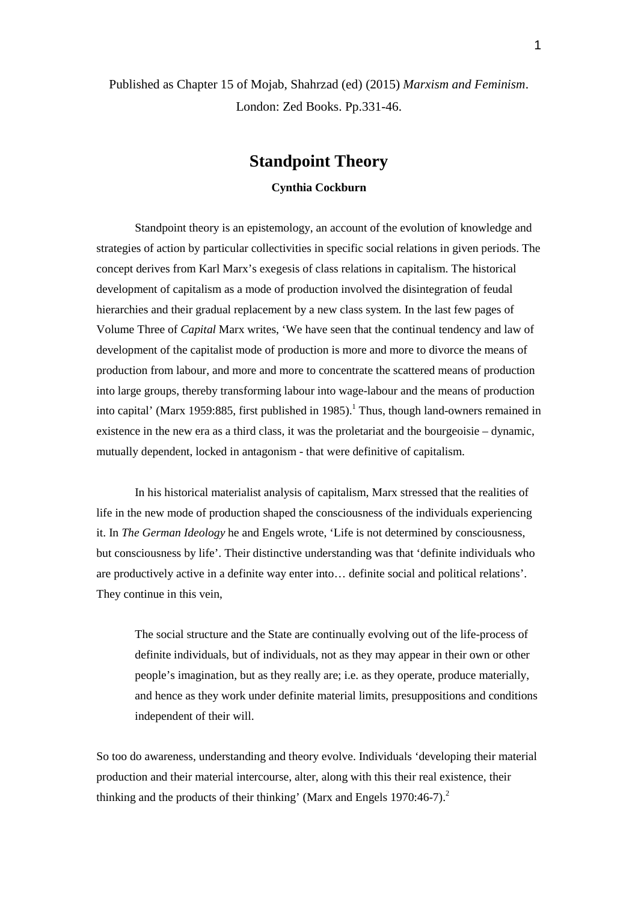Published as Chapter 15 of Mojab, Shahrzad (ed) (2015) *Marxism and Feminism*. London: Zed Books. Pp.331-46.

# **Standpoint Theory**

# **Cynthia Cockburn**

Standpoint theory is an epistemology, an account of the evolution of knowledge and strategies of action by particular collectivities in specific social relations in given periods. The concept derives from Karl Marx's exegesis of class relations in capitalism. The historical development of capitalism as a mode of production involved the disintegration of feudal hierarchies and their gradual replacement by a new class system. In the last few pages of Volume Three of *Capital* Marx writes, 'We have seen that the continual tendency and law of development of the capitalist mode of production is more and more to divorce the means of production from labour, and more and more to concentrate the scattered means of production into large groups, thereby transforming labour into wage-labour and the means of production into capital' (Marx 1959:885, first published in 1985).<sup>1</sup> Thus, though land-owners remained in existence in the new era as a third class, it was the proletariat and the bourgeoisie – dynamic, mutually dependent, locked in antagonism - that were definitive of capitalism.

In his historical materialist analysis of capitalism, Marx stressed that the realities of life in the new mode of production shaped the consciousness of the individuals experiencing it. In *The German Ideology* he and Engels wrote, 'Life is not determined by consciousness, but consciousness by life'. Their distinctive understanding was that 'definite individuals who are productively active in a definite way enter into… definite social and political relations'. They continue in this vein,

The social structure and the State are continually evolving out of the life-process of definite individuals, but of individuals, not as they may appear in their own or other people's imagination, but as they really are; i.e. as they operate, produce materially, and hence as they work under definite material limits, presuppositions and conditions independent of their will.

So too do awareness, understanding and theory evolve. Individuals 'developing their material production and their material intercourse, alter, along with this their real existence, their thinking and the products of their thinking' (Marx and Engels 1970:46-7).<sup>2</sup>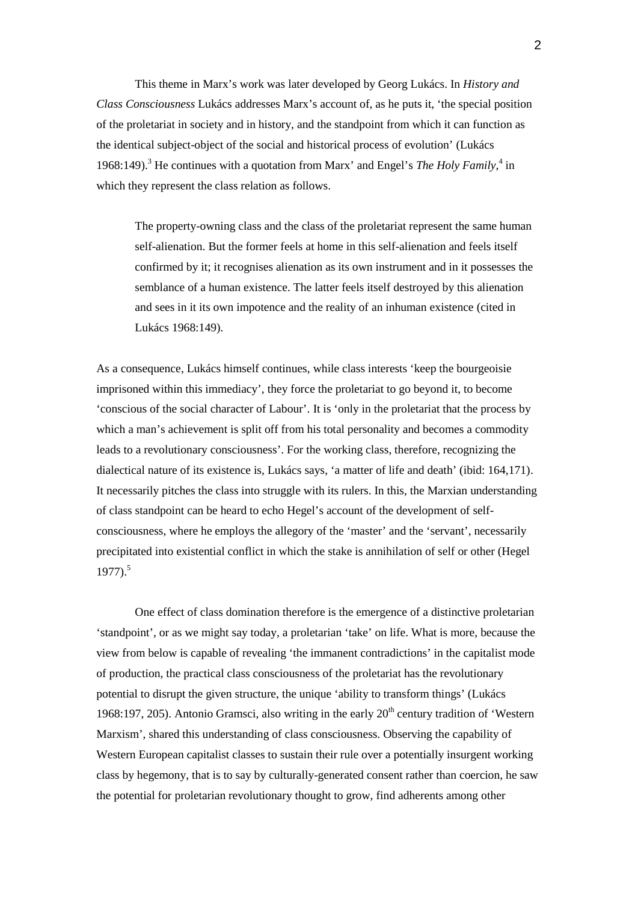This theme in Marx's work was later developed by Georg Lukács. In *History and Class Consciousness* Lukács addresses Marx's account of, as he puts it, 'the special position of the proletariat in society and in history, and the standpoint from which it can function as the identical subject-object of the social and historical process of evolution' (Lukács 1968:149).<sup>3</sup> He continues with a quotation from Marx' and Engel's *The Holy Family*,<sup>4</sup> in which they represent the class relation as follows.

The property-owning class and the class of the proletariat represent the same human self-alienation. But the former feels at home in this self-alienation and feels itself confirmed by it; it recognises alienation as its own instrument and in it possesses the semblance of a human existence. The latter feels itself destroyed by this alienation and sees in it its own impotence and the reality of an inhuman existence (cited in Lukács 1968:149).

As a consequence, Lukács himself continues, while class interests 'keep the bourgeoisie imprisoned within this immediacy', they force the proletariat to go beyond it, to become 'conscious of the social character of Labour'. It is 'only in the proletariat that the process by which a man's achievement is split off from his total personality and becomes a commodity leads to a revolutionary consciousness'. For the working class, therefore, recognizing the dialectical nature of its existence is, Lukács says, 'a matter of life and death' (ibid: 164,171). It necessarily pitches the class into struggle with its rulers. In this, the Marxian understanding of class standpoint can be heard to echo Hegel's account of the development of self consciousness, where he employs the allegory of the 'master' and the 'servant', necessarily precipitated into existential conflict in which the stake is annihilation of self or other (Hegel  $1977$ ).<sup>5</sup>

One effect of class domination therefore is the emergence of a distinctive proletarian 'standpoint', or as we might say today, a proletarian 'take' on life. What is more, because the view from below is capable of revealing 'the immanent contradictions' in the capitalist mode of production, the practical class consciousness of the proletariat has the revolutionary potential to disrupt the given structure, the unique 'ability to transform things' (Lukács 1968:197, 205). Antonio Gramsci, also writing in the early  $20<sup>th</sup>$  century tradition of 'Western Marxism', shared this understanding of class consciousness. Observing the capability of Western European capitalist classes to sustain their rule over a potentially insurgent working class by hegemony, that is to say by culturally-generated consent rather than coercion, he saw the potential for proletarian revolutionary thought to grow, find adherents among other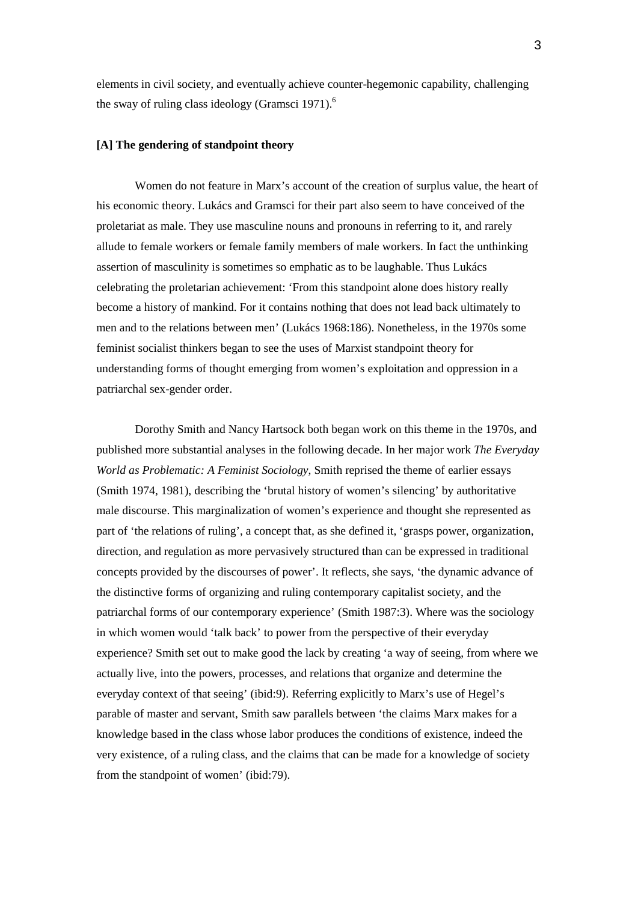elements in civil society, and eventually achieve counter-hegemonic capability, challenging the sway of ruling class ideology (Gramsci 1971). $<sup>6</sup>$ </sup>

## **[A] The gendering of standpoint theory**

Women do not feature in Marx's account of the creation of surplus value, the heart of his economic theory. Lukács and Gramsci for their part also seem to have conceived of the proletariat as male. They use masculine nouns and pronouns in referring to it, and rarely allude to female workers or female family members of male workers. In fact the unthinking assertion of masculinity is sometimes so emphatic as to be laughable. Thus Lukács celebrating the proletarian achievement: 'From this standpoint alone does history really become a history of mankind. For it contains nothing that does not lead back ultimately to men and to the relations between men' (Lukács 1968:186). Nonetheless, in the 1970s some feminist socialist thinkers began to see the uses of Marxist standpoint theory for understanding forms of thought emerging from women's exploitation and oppression in a patriarchal sex-gender order.

Dorothy Smith and Nancy Hartsock both began work on this theme in the 1970s, and published more substantial analyses in the following decade. In her major work *The Everyday World as Problematic: A Feminist Sociology*, Smith reprised the theme of earlier essays (Smith 1974, 1981), describing the 'brutal history of women's silencing' by authoritative male discourse. This marginalization of women's experience and thought she represented as part of 'the relations of ruling', a concept that, as she defined it, 'grasps power, organization, direction, and regulation as more pervasively structured than can be expressed in traditional concepts provided by the discourses of power'. It reflects, she says, 'the dynamic advance of the distinctive forms of organizing and ruling contemporary capitalist society, and the patriarchal forms of our contemporary experience' (Smith 1987:3). Where was the sociology in which women would 'talk back' to power from the perspective of their everyday experience? Smith set out to make good the lack by creating 'a way of seeing, from where we actually live, into the powers, processes, and relations that organize and determine the everyday context of that seeing' (ibid:9). Referring explicitly to Marx's use of Hegel's parable of master and servant, Smith saw parallels between 'the claims Marx makes for a knowledge based in the class whose labor produces the conditions of existence, indeed the very existence, of a ruling class, and the claims that can be made for a knowledge of society from the standpoint of women' (ibid:79).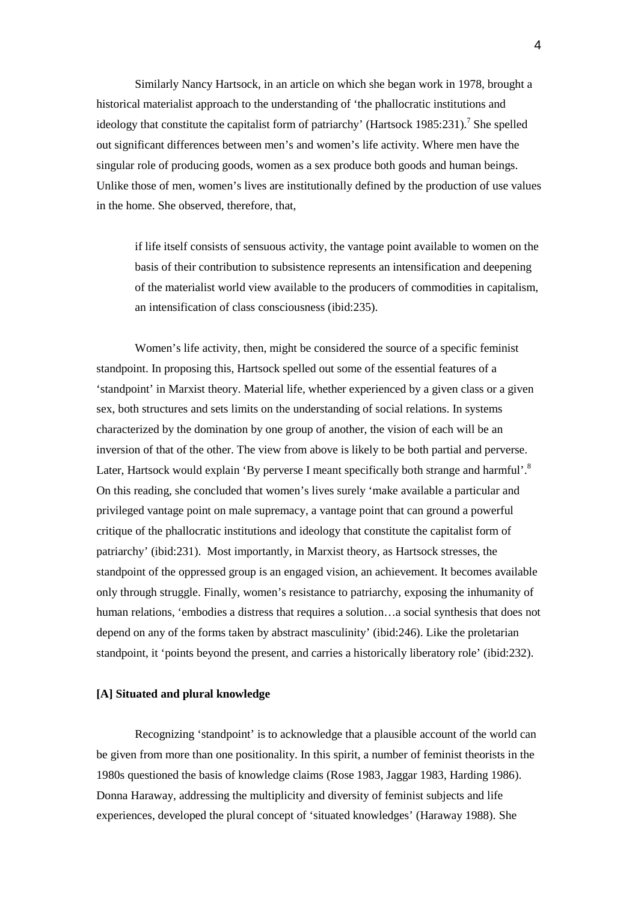Similarly Nancy Hartsock, in an article on which she began work in 1978, brought a historical materialist approach to the understanding of 'the phallocratic institutions and ideology that constitute the capitalist form of patriarchy' (Hartsock 1985:231).<sup>7</sup> She spelled out significant differences between men's and women's life activity. Where men have the singular role of producing goods, women as a sex produce both goods and human beings. Unlike those of men, women's lives are institutionally defined by the production of use values in the home. She observed, therefore, that,

if life itself consists of sensuous activity, the vantage point available to women on the basis of their contribution to subsistence represents an intensification and deepening of the materialist world view available to the producers of commodities in capitalism, an intensification of class consciousness (ibid:235).

Women's life activity, then, might be considered the source of a specific feminist standpoint. In proposing this, Hartsock spelled out some of the essential features of a 'standpoint' in Marxist theory. Material life, whether experienced by a given class or a given sex, both structures and sets limits on the understanding of social relations. In systems characterized by the domination by one group of another, the vision of each will be an inversion of that of the other. The view from above is likely to be both partial and perverse. Later, Hartsock would explain 'By perverse I meant specifically both strange and harmful'.<sup>8</sup> On this reading, she concluded that women's lives surely 'make available a particular and privileged vantage point on male supremacy, a vantage point that can ground a powerful critique of the phallocratic institutions and ideology that constitute the capitalist form of patriarchy' (ibid:231). Most importantly, in Marxist theory, as Hartsock stresses, the standpoint of the oppressed group is an engaged vision, an achievement. It becomes available only through struggle. Finally, women's resistance to patriarchy, exposing the inhumanity of human relations, 'embodies a distress that requires a solution...a social synthesis that does not depend on any of the forms taken by abstract masculinity' (ibid:246). Like the proletarian standpoint, it 'points beyond the present, and carries a historically liberatory role' (ibid:232).

## **[A] Situated and plural knowledge**

Recognizing 'standpoint' is to acknowledge that a plausible account of the world can be given from more than one positionality. In this spirit, a number of feminist theorists in the 1980s questioned the basis of knowledge claims (Rose 1983, Jaggar 1983, Harding 1986). Donna Haraway, addressing the multiplicity and diversity of feminist subjects and life experiences, developed the plural concept of 'situated knowledges' (Haraway 1988). She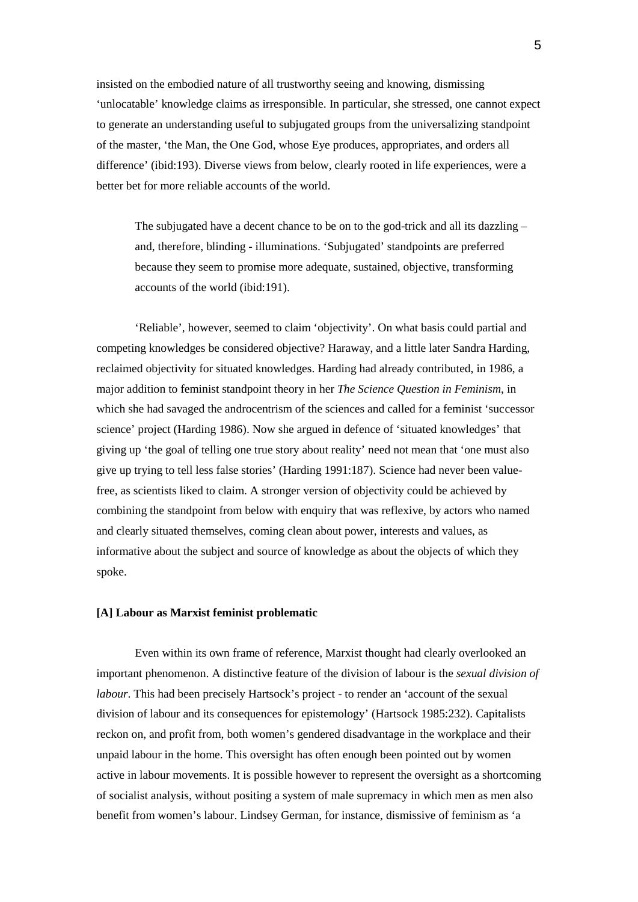insisted on the embodied nature of all trustworthy seeing and knowing, dismissing 'unlocatable' knowledge claims as irresponsible. In particular, she stressed, one cannot expect to generate an understanding useful to subjugated groups from the universalizing standpoint of the master, 'the Man, the One God, whose Eye produces, appropriates, and orders all difference' (ibid:193). Diverse views from below, clearly rooted in life experiences, were a better bet for more reliable accounts of the world.

The subjugated have a decent chance to be on to the god-trick and all its dazzling – and, therefore, blinding - illuminations. 'Subjugated' standpoints are preferred because they seem to promise more adequate, sustained, objective, transforming accounts of the world (ibid:191).

'Reliable', however, seemed to claim 'objectivity'. On what basis could partial and competing knowledges be considered objective? Haraway, and a little later Sandra Harding, reclaimed objectivity for situated knowledges. Harding had already contributed, in 1986, a major addition to feminist standpoint theory in her *The Science Question in Feminism*, in which she had savaged the androcentrism of the sciences and called for a feminist 'successor science' project (Harding 1986). Now she argued in defence of 'situated knowledges' that giving up 'the goal of telling one true story about reality' need not mean that 'one must also give up trying to tell less false stories' (Harding 1991:187). Science had never been valuefree, as scientists liked to claim. A stronger version of objectivity could be achieved by combining the standpoint from below with enquiry that was reflexive, by actors who named and clearly situated themselves, coming clean about power, interests and values, as informative about the subject and source of knowledge as about the objects of which they spoke.

#### **[A] Labour as Marxist feminist problematic**

Even within its own frame of reference, Marxist thought had clearly overlooked an important phenomenon. A distinctive feature of the division of labour is the *sexual division of labour*. This had been precisely Hartsock's project - to render an 'account of the sexual division of labour and its consequences for epistemology' (Hartsock 1985:232). Capitalists reckon on, and profit from, both women's gendered disadvantage in the workplace and their unpaid labour in the home. This oversight has often enough been pointed out by women active in labour movements. It is possible however to represent the oversight as a shortcoming of socialist analysis, without positing a system of male supremacy in which men as men also benefit from women's labour. Lindsey German, for instance, dismissive of feminism as 'a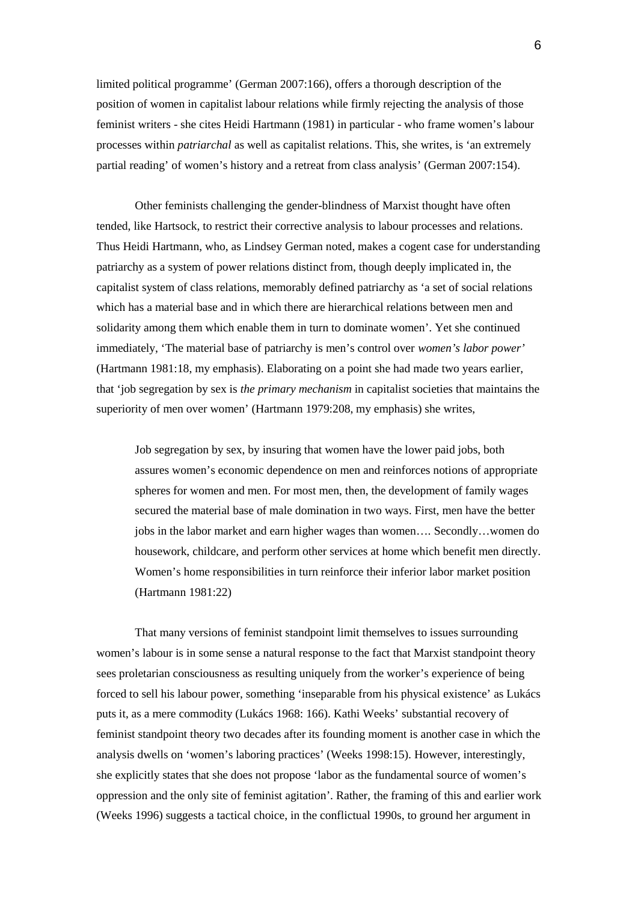limited political programme' (German 2007:166), offers a thorough description of the position of women in capitalist labour relations while firmly rejecting the analysis of those feminist writers - she cites Heidi Hartmann (1981) in particular - who frame women's labour processes within *patriarchal* as well as capitalist relations. This, she writes, is 'an extremely partial reading' of women's history and a retreat from class analysis' (German 2007:154).

Other feminists challenging the gender-blindness of Marxist thought have often tended, like Hartsock, to restrict their corrective analysis to labour processes and relations. Thus Heidi Hartmann, who, as Lindsey German noted, makes a cogent case for understanding patriarchy as a system of power relations distinct from, though deeply implicated in, the capitalist system of class relations, memorably defined patriarchy as 'a set of social relations which has a material base and in which there are hierarchical relations between men and solidarity among them which enable them in turn to dominate women'. Yet she continued immediately, 'The material base of patriarchy is men's control over *women's labor power'* (Hartmann 1981:18, my emphasis). Elaborating on a point she had made two years earlier, that 'job segregation by sex is *the primary mechanism* in capitalist societies that maintains the superiority of men over women' (Hartmann 1979:208, my emphasis) she writes,

Job segregation by sex, by insuring that women have the lower paid jobs, both assures women's economic dependence on men and reinforces notions of appropriate spheres for women and men. For most men, then, the development of family wages secured the material base of male domination in two ways. First, men have the better jobs in the labor market and earn higher wages than women…. Secondly…women do housework, childcare, and perform other services at home which benefit men directly. Women's home responsibilities in turn reinforce their inferior labor market position (Hartmann 1981:22)

That many versions of feminist standpoint limit themselves to issues surrounding women's labour is in some sense a natural response to the fact that Marxist standpoint theory sees proletarian consciousness as resulting uniquely from the worker's experience of being forced to sell his labour power, something 'inseparable from his physical existence' as Lukács puts it, as a mere commodity (Lukács 1968: 166). Kathi Weeks' substantial recovery of feminist standpoint theory two decades after its founding moment is another case in which the analysis dwells on 'women's laboring practices' (Weeks 1998:15). However, interestingly, she explicitly states that she does not propose 'labor as the fundamental source of women's oppression and the only site of feminist agitation'. Rather, the framing of this and earlier work (Weeks 1996) suggests a tactical choice, in the conflictual 1990s, to ground her argument in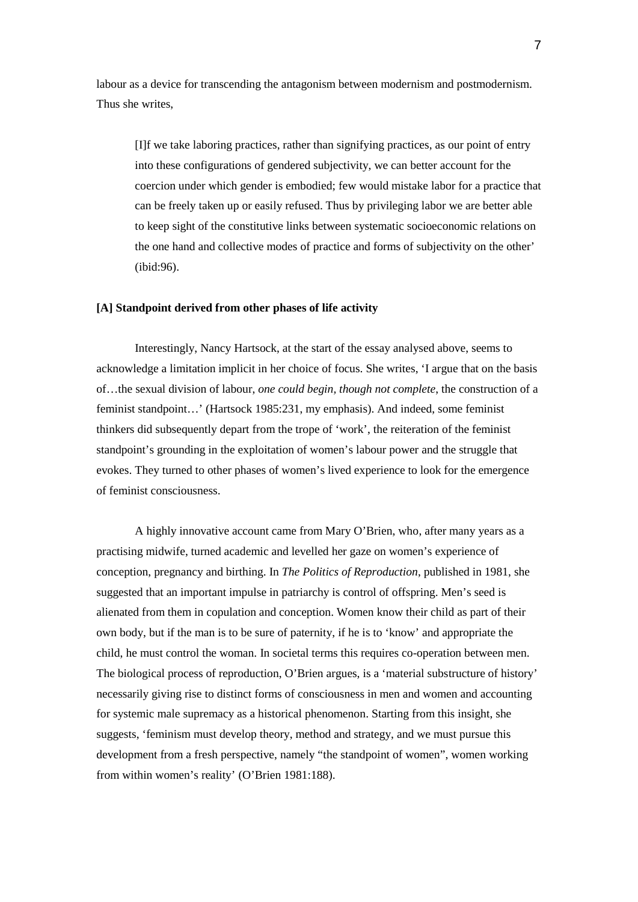labour as a device for transcending the antagonism between modernism and postmodernism. Thus she writes,

[I]f we take laboring practices, rather than signifying practices, as our point of entry into these configurations of gendered subjectivity, we can better account for the coercion under which gender is embodied; few would mistake labor for a practice that can be freely taken up or easily refused. Thus by privileging labor we are better able to keep sight of the constitutive links between systematic socioeconomic relations on the one hand and collective modes of practice and forms of subjectivity on the other' (ibid:96).

## **[A] Standpoint derived from other phases of life activity**

Interestingly, Nancy Hartsock, at the start of the essay analysed above, seems to acknowledge a limitation implicit in her choice of focus. She writes, 'I argue that on the basis of…the sexual division of labour, *one could begin, though not complete*, the construction of a feminist standpoint…' (Hartsock 1985:231, my emphasis). And indeed, some feminist thinkers did subsequently depart from the trope of 'work', the reiteration of the feminist standpoint's grounding in the exploitation of women's labour power and the struggle that evokes. They turned to other phases of women's lived experience to look for the emergence of feminist consciousness.

A highly innovative account came from Mary O'Brien, who, after many years as a practising midwife, turned academic and levelled her gaze on women's experience of conception, pregnancy and birthing. In *The Politics of Reproduction*, published in 1981, she suggested that an important impulse in patriarchy is control of offspring. Men's seed is alienated from them in copulation and conception. Women know their child as part of their own body, but if the man is to be sure of paternity, if he is to 'know' and appropriate the child, he must control the woman. In societal terms this requires co-operation between men. The biological process of reproduction, O'Brien argues, is a 'material substructure of history' necessarily giving rise to distinct forms of consciousness in men and women and accounting for systemic male supremacy as a historical phenomenon. Starting from this insight, she suggests, 'feminism must develop theory, method and strategy, and we must pursue this development from a fresh perspective, namely "the standpoint of women", women working from within women's reality' (O'Brien 1981:188).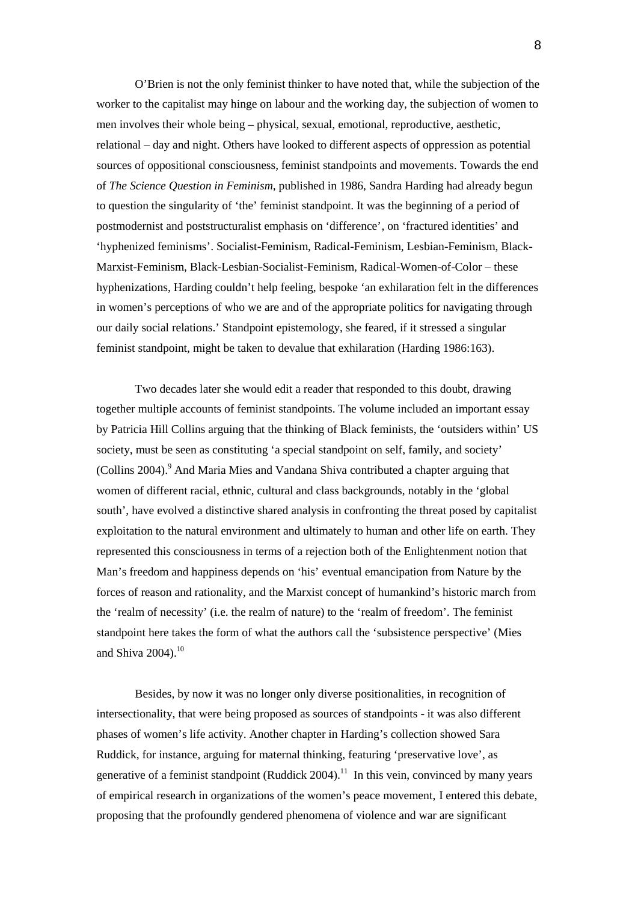O'Brien is not the only feminist thinker to have noted that, while the subjection of the worker to the capitalist may hinge on labour and the working day, the subjection of women to men involves their whole being – physical, sexual, emotional, reproductive, aesthetic, relational – day and night. Others have looked to different aspects of oppression as potential sources of oppositional consciousness, feminist standpoints and movements. Towards the end of *The Science Question in Feminism*, published in 1986, Sandra Harding had already begun to question the singularity of 'the' feminist standpoint. It was the beginning of a period of postmodernist and poststructuralist emphasis on 'difference', on 'fractured identities' and 'hyphenized feminisms'. Socialist-Feminism, Radical-Feminism, Lesbian-Feminism, Black- Marxist-Feminism, Black-Lesbian-Socialist-Feminism, Radical-Women-of-Color – these hyphenizations, Harding couldn't help feeling, bespoke 'an exhilaration felt in the differences in women's perceptions of who we are and of the appropriate politics for navigating through our daily social relations.' Standpoint epistemology, she feared, if it stressed a singular feminist standpoint, might be taken to devalue that exhilaration (Harding 1986:163).

Two decades later she would edit a reader that responded to this doubt, drawing together multiple accounts of feminist standpoints. The volume included an important essay by Patricia Hill Collins arguing that the thinking of Black feminists, the 'outsiders within' US society, must be seen as constituting 'a special standpoint on self, family, and society' (Collins 2004).<sup>9</sup> And Maria Mies and Vandana Shiva contributed a chapter arguing that women of different racial, ethnic, cultural and class backgrounds, notably in the 'global south', have evolved a distinctive shared analysis in confronting the threat posed by capitalist exploitation to the natural environment and ultimately to human and other life on earth. They represented this consciousness in terms of a rejection both of the Enlightenment notion that Man's freedom and happiness depends on 'his' eventual emancipation from Nature by the forces of reason and rationality, and the Marxist concept of humankind's historic march from the 'realm of necessity' (i.e. the realm of nature) to the 'realm of freedom'. The feminist standpoint here takes the form of what the authors call the 'subsistence perspective' (Mies and Shiva  $2004$ ).<sup>10</sup>

Besides, by now it was no longer only diverse positionalities, in recognition of intersectionality, that were being proposed as sources of standpoints - it was also different phases of women's life activity. Another chapter in Harding's collection showed Sara Ruddick, for instance, arguing for maternal thinking, featuring 'preservative love', as generative of a feminist standpoint (Ruddick 2004).<sup>11</sup> In this vein, convinced by many years of empirical research in organizations of the women's peace movement, I entered this debate, proposing that the profoundly gendered phenomena of violence and war are significant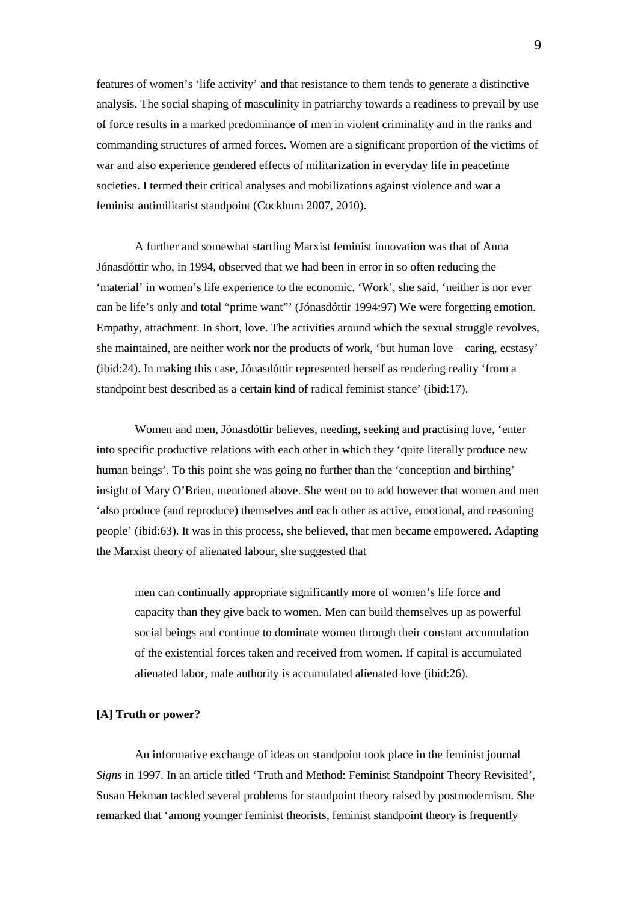features of women's 'life activity' and that resistance to them tends to generate a distinctive analysis. The social shaping of masculinity in patriarchy towards a readiness to prevail by use of force results in a marked predominance of men in violent criminality and in the ranks and commanding structures of armed forces. Women are a significant proportion of the victims of war and also experience gendered effects of militarization in everyday life in peacetime societies. I termed their critical analyses and mobilizations against violence and war a feminist antimilitarist standpoint (Cockburn 2007, 2010).

A further and somewhat startling Marxist feminist innovation was that of Anna Jónasdóttir who, in 1994, observed that we had been in error in so often reducing the 'material' in women's life experience to the economic. 'Work', she said, 'neither is nor ever can be life's only and total "prime want"' (Jónasdóttir 1994:97) We were forgetting emotion. Empathy, attachment. In short, love. The activities around which the sexual struggle revolves, she maintained, are neither work nor the products of work, 'but human love – caring, ecstasy' (ibid:24). In making this case, Jónasdóttir represented herself as rendering reality 'from a standpoint best described as a certain kind of radical feminist stance' (ibid:17).

Women and men, Jónasdóttir believes, needing, seeking and practising love, 'enter into specific productive relations with each other in which they 'quite literally produce new human beings'. To this point she was going no further than the 'conception and birthing' insight of Mary O'Brien, mentioned above. She went on to add however that women and men 'also produce (and reproduce) themselves and each other as active, emotional, and reasoning people' (ibid:63). It was in this process, she believed, that men became empowered. Adapting the Marxist theory of alienated labour, she suggested that

men can continually appropriate significantly more of women's life force and capacity than they give back to women. Men can build themselves up as powerful social beings and continue to dominate women through their constant accumulation of the existential forces taken and received from women. If capital is accumulated alienated labor, male authority is accumulated alienated love (ibid:26).

# **[A] Truth or power?**

An informative exchange of ideas on standpoint took place in the feminist journal *Signs* in 1997. In an article titled 'Truth and Method: Feminist Standpoint Theory Revisited', Susan Hekman tackled several problems for standpoint theory raised by postmodernism. She remarked that 'among younger feminist theorists, feminist standpoint theory is frequently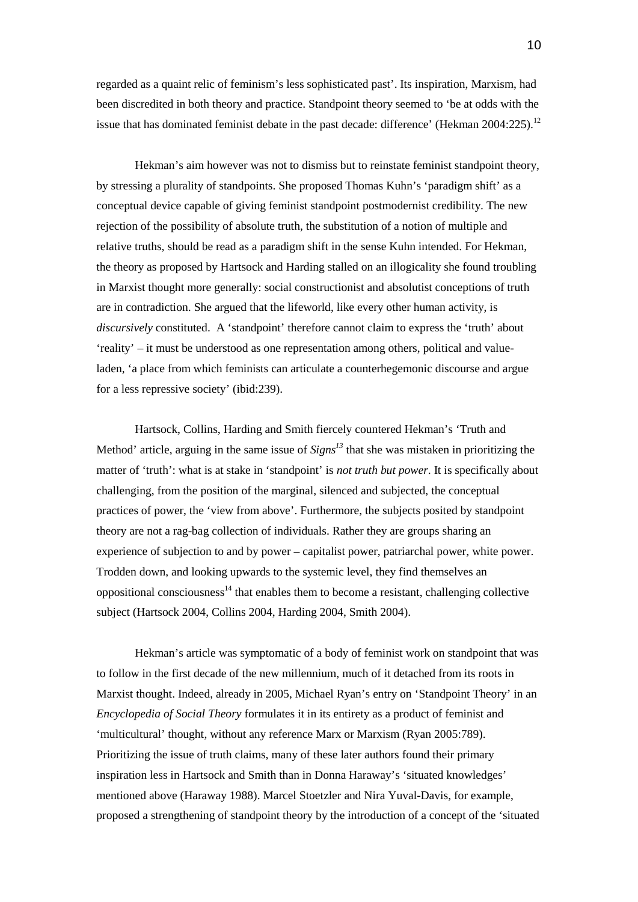regarded as a quaint relic of feminism's less sophisticated past'. Its inspiration, Marxism, had been discredited in both theory and practice. Standpoint theory seemed to 'be at odds with the issue that has dominated feminist debate in the past decade: difference' (Hekman  $2004:225$ ).<sup>12</sup>

Hekman's aim however was not to dismiss but to reinstate feminist standpoint theory, by stressing a plurality of standpoints. She proposed Thomas Kuhn's 'paradigm shift' as a conceptual device capable of giving feminist standpoint postmodernist credibility. The new rejection of the possibility of absolute truth, the substitution of a notion of multiple and relative truths, should be read as a paradigm shift in the sense Kuhn intended. For Hekman, the theory as proposed by Hartsock and Harding stalled on an illogicality she found troubling in Marxist thought more generally: social constructionist and absolutist conceptions of truth are in contradiction. She argued that the lifeworld, like every other human activity, is *discursively* constituted. A 'standpoint' therefore cannot claim to express the 'truth' about 'reality' – it must be understood as one representation among others, political and valueladen, 'a place from which feminists can articulate a counterhegemonic discourse and argue for a less repressive society' (ibid:239).

Hartsock, Collins, Harding and Smith fiercely countered Hekman's 'Truth and Method' article, arguing in the same issue of *Signs<sup>13</sup>* that she was mistaken in prioritizing the matter of 'truth': what is at stake in 'standpoint' is *not truth but power*. It is specifically about challenging, from the position of the marginal, silenced and subjected, the conceptual practices of power, the 'view from above'. Furthermore, the subjects posited by standpoint theory are not a rag-bag collection of individuals. Rather they are groups sharing an experience of subjection to and by power – capitalist power, patriarchal power, white power. Trodden down, and looking upwards to the systemic level, they find themselves an oppositional consciousness<sup>14</sup> that enables them to become a resistant, challenging collective subject (Hartsock 2004, Collins 2004, Harding 2004, Smith 2004).

Hekman's article was symptomatic of a body of feminist work on standpoint that was to follow in the first decade of the new millennium, much of it detached from its roots in Marxist thought. Indeed, already in 2005, Michael Ryan's entry on 'Standpoint Theory' in an *Encyclopedia of Social Theory* formulates it in its entirety as a product of feminist and 'multicultural' thought, without any reference Marx or Marxism (Ryan 2005:789). Prioritizing the issue of truth claims, many of these later authors found their primary inspiration less in Hartsock and Smith than in Donna Haraway's 'situated knowledges' mentioned above (Haraway 1988). Marcel Stoetzler and Nira Yuval-Davis, for example, proposed a strengthening of standpoint theory by the introduction of a concept of the 'situated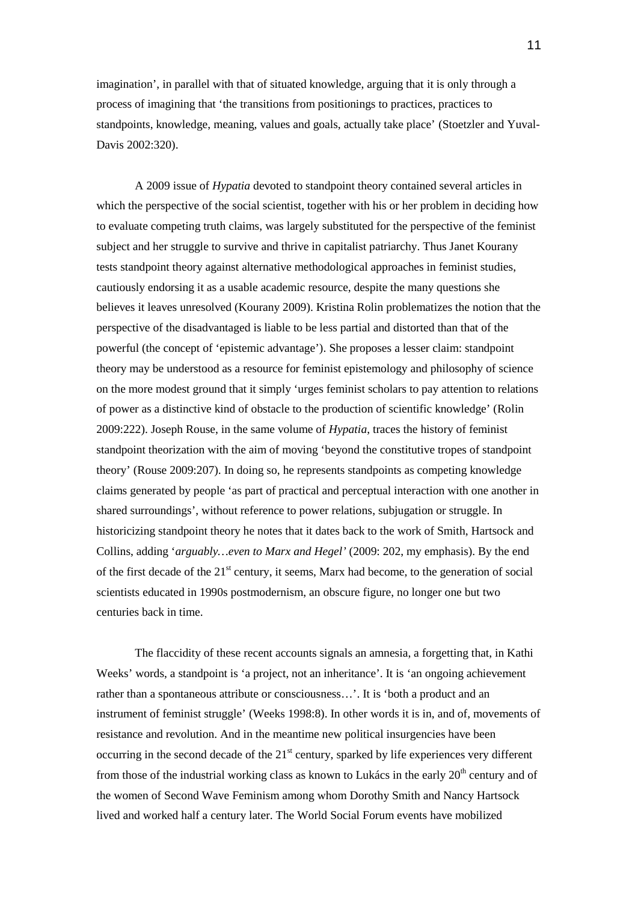imagination', in parallel with that of situated knowledge, arguing that it is only through a process of imagining that 'the transitions from positionings to practices, practices to standpoints, knowledge, meaning, values and goals, actually take place' (Stoetzler and Yuval- Davis 2002:320).

A 2009 issue of *Hypatia* devoted to standpoint theory contained several articles in which the perspective of the social scientist, together with his or her problem in deciding how to evaluate competing truth claims, was largely substituted for the perspective of the feminist subject and her struggle to survive and thrive in capitalist patriarchy. Thus Janet Kourany tests standpoint theory against alternative methodological approaches in feminist studies, cautiously endorsing it as a usable academic resource, despite the many questions she believes it leaves unresolved (Kourany 2009). Kristina Rolin problematizes the notion that the perspective of the disadvantaged is liable to be less partial and distorted than that of the powerful (the concept of 'epistemic advantage'). She proposes a lesser claim: standpoint theory may be understood as a resource for feminist epistemology and philosophy of science on the more modest ground that it simply 'urges feminist scholars to pay attention to relations of power as a distinctive kind of obstacle to the production of scientific knowledge' (Rolin 2009:222). Joseph Rouse, in the same volume of *Hypatia*, traces the history of feminist standpoint theorization with the aim of moving 'beyond the constitutive tropes of standpoint theory' (Rouse 2009:207). In doing so, he represents standpoints as competing knowledge claims generated by people 'as part of practical and perceptual interaction with one another in shared surroundings', without reference to power relations, subjugation or struggle. In historicizing standpoint theory he notes that it dates back to the work of Smith, Hartsock and Collins, adding '*arguably…even to Marx and Hegel'* (2009: 202, my emphasis). By the end of the first decade of the  $21<sup>st</sup>$  century, it seems, Marx had become, to the generation of social scientists educated in 1990s postmodernism, an obscure figure, no longer one but two centuries back in time.

The flaccidity of these recent accounts signals an amnesia, a forgetting that, in Kathi Weeks' words, a standpoint is 'a project, not an inheritance'. It is 'an ongoing achievement rather than a spontaneous attribute or consciousness…'. It is 'both a product and an instrument of feminist struggle' (Weeks 1998:8). In other words it is in, and of, movements of resistance and revolution. And in the meantime new political insurgencies have been occurring in the second decade of the  $21<sup>st</sup>$  century, sparked by life experiences very different from those of the industrial working class as known to Lukács in the early  $20<sup>th</sup>$  century and of the women of Second Wave Feminism among whom Dorothy Smith and Nancy Hartsock lived and worked half a century later. The World Social Forum events have mobilized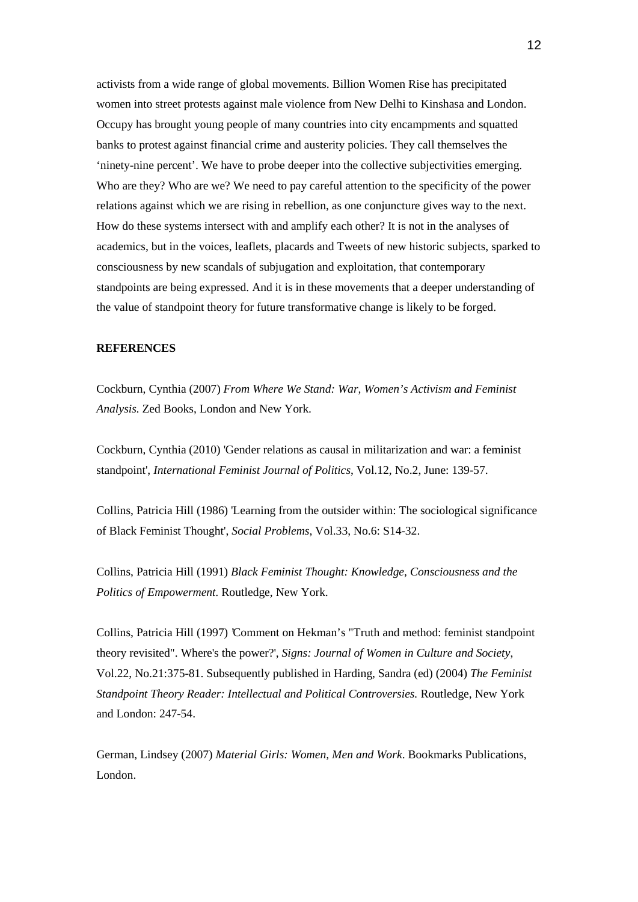activists from a wide range of global movements. Billion Women Rise has precipitated women into street protests against male violence from New Delhi to Kinshasa and London. Occupy has brought young people of many countries into city encampments and squatted banks to protest against financial crime and austerity policies. They call themselves the 'ninety-nine percent'. We have to probe deeper into the collective subjectivities emerging. Who are they? Who are we? We need to pay careful attention to the specificity of the power relations against which we are rising in rebellion, as one conjuncture gives way to the next. How do these systems intersect with and amplify each other? It is not in the analyses of academics, but in the voices, leaflets, placards and Tweets of new historic subjects, sparked to consciousness by new scandals of subjugation and exploitation, that contemporary standpoints are being expressed. And it is in these movements that a deeper understanding of the value of standpoint theory for future transformative change is likely to be forged.

## **REFERENCES**

Cockburn, Cynthia (2007) *From Where We Stand: War, Women's Activism and Feminist Analysis.* Zed Books, London and New York.

Cockburn, Cynthia (2010) 'Gender relations as causal in militarization and war: a feminist standpoint', *International Feminist Journal of Politics*, Vol.12, No.2, June: 139-57.

Collins, Patricia Hill (1986) 'Learning from the outsider within: The sociological significance of Black Feminist Thought', *Social Problems*, Vol.33, No.6: S14-32.

Collins, Patricia Hill (1991) *Black Feminist Thought: Knowledge, Consciousness and the Politics of Empowerment.* Routledge, New York.

Collins, Patricia Hill (1997) 'Comment on Hekman's "Truth and method: feminist standpoint theory revisited". Where's the power?', *Signs: Journal of Women in Culture and Society*, Vol.22, No.21:375-81. Subsequently published in Harding, Sandra (ed) (2004) *The Feminist Standpoint Theory Reader: Intellectual and Political Controversies.* Routledge, New York and London: 247-54.

German, Lindsey (2007) *Material Girls: Women, Men and Work*. Bookmarks Publications, London.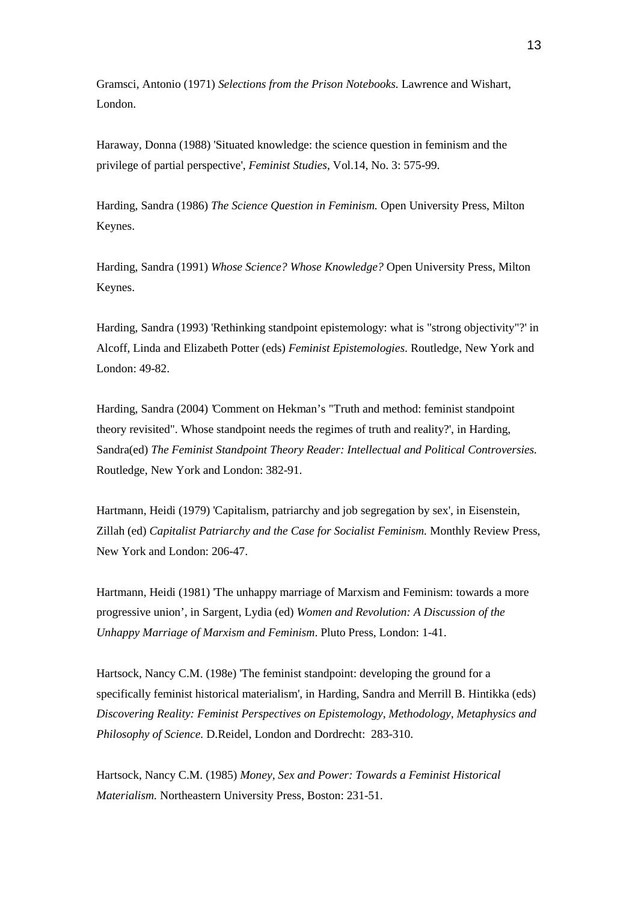Gramsci, Antonio (1971) *Selections from the Prison Notebooks.* Lawrence and Wishart, London.

Haraway, Donna (1988) 'Situated knowledge: the science question in feminism and the privilege of partial perspective', *Feminist Studies*, Vol.14, No. 3: 575-99.

Harding, Sandra (1986) *The Science Question in Feminism.* Open University Press, Milton Keynes.

Harding, Sandra (1991) *Whose Science? Whose Knowledge?* Open University Press, Milton Keynes.

Harding, Sandra (1993) 'Rethinking standpoint epistemology: what is "strong objectivity"?' in Alcoff, Linda and Elizabeth Potter (eds) *Feminist Epistemologies*. Routledge, New York and London: 49-82.

Harding, Sandra (2004) 'Comment on Hekman's "Truth and method: feminist standpoint theory revisited". Whose standpoint needs the regimes of truth and reality?', in Harding, Sandra(ed) *The Feminist Standpoint Theory Reader: Intellectual and Political Controversies.* Routledge, New York and London: 382-91.

Hartmann, Heidi (1979) 'Capitalism, patriarchy and job segregation by sex', in Eisenstein, Zillah (ed) *Capitalist Patriarchy and the Case for Socialist Feminism.* Monthly Review Press, New York and London: 206-47.

Hartmann, Heidi (1981) 'The unhappy marriage of Marxism and Feminism: towards a more progressive union', in Sargent, Lydia (ed) *Women and Revolution: A Discussion of the Unhappy Marriage of Marxism and Feminism*. Pluto Press, London: 1-41.

Hartsock, Nancy C.M. (198e) 'The feminist standpoint: developing the ground for a specifically feminist historical materialism', in Harding, Sandra and Merrill B. Hintikka (eds) *Discovering Reality: Feminist Perspectives on Epistemology, Methodology, Metaphysics and Philosophy of Science.* D.Reidel, London and Dordrecht: 283-310.

Hartsock, Nancy C.M. (1985) *Money, Sex and Power: Towards a Feminist Historical Materialism.* Northeastern University Press, Boston: 231-51.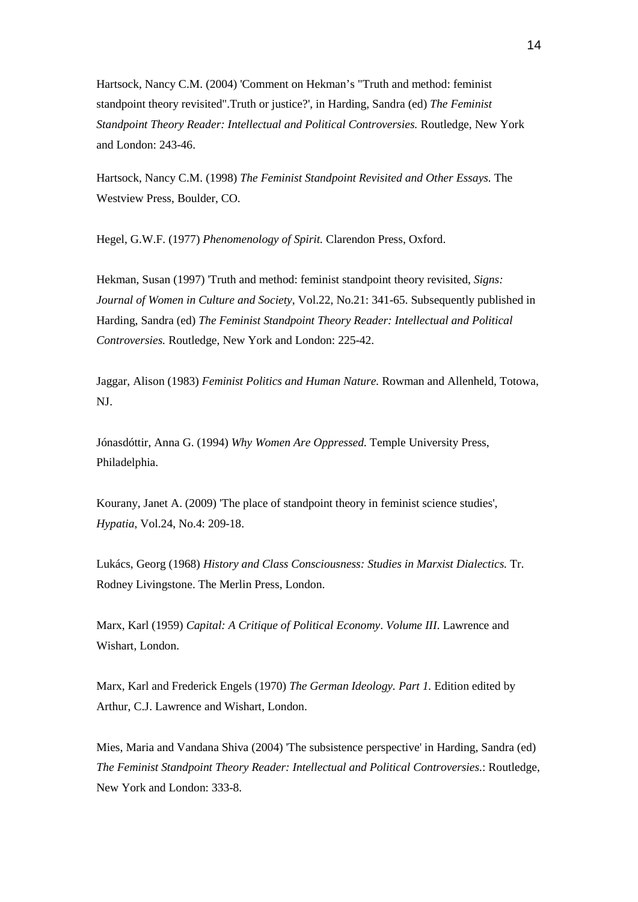Hartsock, Nancy C.M. (2004) 'Comment on Hekman's "Truth and method: feminist standpoint theory revisited".Truth or justice?', in Harding, Sandra (ed) *The Feminist Standpoint Theory Reader: Intellectual and Political Controversies.* Routledge, New York and London: 243-46.

Hartsock, Nancy C.M. (1998) *The Feminist Standpoint Revisited and Other Essays.* The Westview Press, Boulder, CO.

Hegel, G.W.F. (1977) *Phenomenology of Spirit.* Clarendon Press, Oxford.

Hekman, Susan (1997) 'Truth and method: feminist standpoint theory revisited, *Signs: Journal of Women in Culture and Society*, Vol.22, No.21: 341-65. Subsequently published in Harding, Sandra (ed) *The Feminist Standpoint Theory Reader: Intellectual and Political Controversies.* Routledge, New York and London: 225-42.

Jaggar, Alison (1983) *Feminist Politics and Human Nature.* Rowman and Allenheld, Totowa, NJ.

Jónasdóttir, Anna G. (1994) *Why Women Are Oppressed.* Temple University Press, Philadelphia.

Kourany, Janet A. (2009) 'The place of standpoint theory in feminist science studies', *Hypatia*, Vol.24, No.4: 209-18.

Lukács, Georg (1968) *History and Class Consciousness: Studies in Marxist Dialectics.* Tr. Rodney Livingstone. The Merlin Press, London.

Marx, Karl (1959) *Capital: A Critique of Political Economy*. *Volume III*. Lawrence and Wishart, London.

Marx, Karl and Frederick Engels (1970) *The German Ideology. Part 1.* Edition edited by Arthur, C.J. Lawrence and Wishart, London.

Mies, Maria and Vandana Shiva (2004) 'The subsistence perspective' in Harding, Sandra (ed) *The Feminist Standpoint Theory Reader: Intellectual and Political Controversies.*: Routledge, New York and London: 333-8.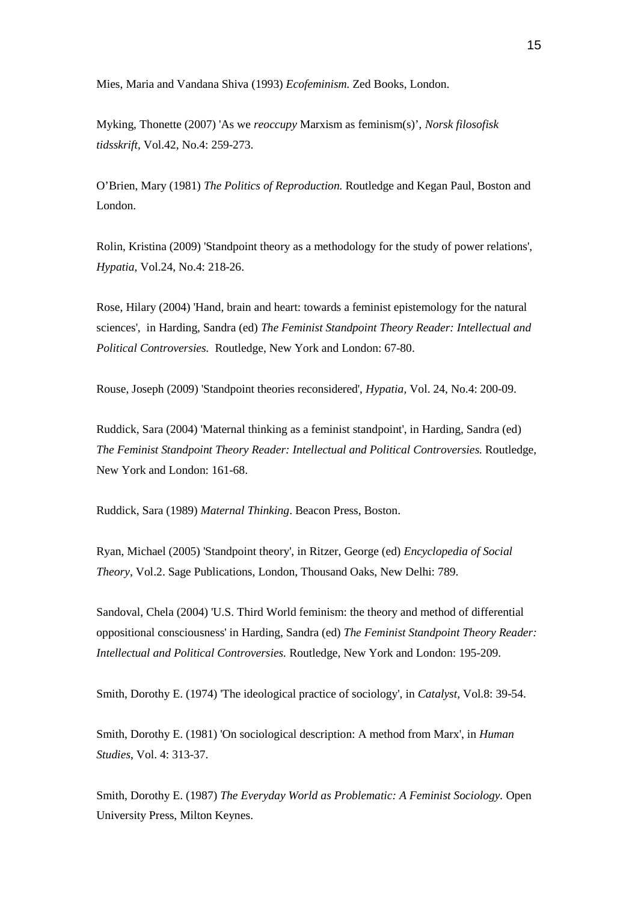Mies, Maria and Vandana Shiva (1993) *Ecofeminism.* Zed Books, London.

Myking, Thonette (2007) 'As we *reoccupy* Marxism as feminism(s)', *Norsk filosofisk tidsskrift*, Vol.42, No.4: 259-273.

O'Brien, Mary (1981) *The Politics of Reproduction.* Routledge and Kegan Paul, Boston and London.

Rolin, Kristina (2009) 'Standpoint theory as a methodology for the study of power relations', *Hypatia*, Vol.24, No.4: 218-26.

Rose, Hilary (2004) 'Hand, brain and heart: towards a feminist epistemology for the natural sciences', in Harding, Sandra (ed) *The Feminist Standpoint Theory Reader: Intellectual and Political Controversies.* Routledge, New York and London: 67-80.

Rouse, Joseph (2009) 'Standpoint theories reconsidered', *Hypatia,* Vol. 24, No.4: 200-09.

Ruddick, Sara (2004) 'Maternal thinking as a feminist standpoint', in Harding, Sandra (ed) *The Feminist Standpoint Theory Reader: Intellectual and Political Controversies.* Routledge, New York and London: 161-68.

Ruddick, Sara (1989) *Maternal Thinking*. Beacon Press, Boston.

Ryan, Michael (2005) 'Standpoint theory', in Ritzer, George (ed) *Encyclopedia of Social Theory*, Vol.2. Sage Publications, London, Thousand Oaks, New Delhi: 789.

Sandoval, Chela (2004) 'U.S. Third World feminism: the theory and method of differential oppositional consciousness' in Harding, Sandra (ed) *The Feminist Standpoint Theory Reader: Intellectual and Political Controversies.* Routledge, New York and London: 195-209.

Smith, Dorothy E. (1974) 'The ideological practice of sociology', in *Catalyst,* Vol.8: 39-54.

Smith, Dorothy E. (1981) 'On sociological description: A method from Marx', in *Human Studies*, Vol. 4: 313-37.

Smith, Dorothy E. (1987) *The Everyday World as Problematic: A Feminist Sociology.* Open University Press, Milton Keynes.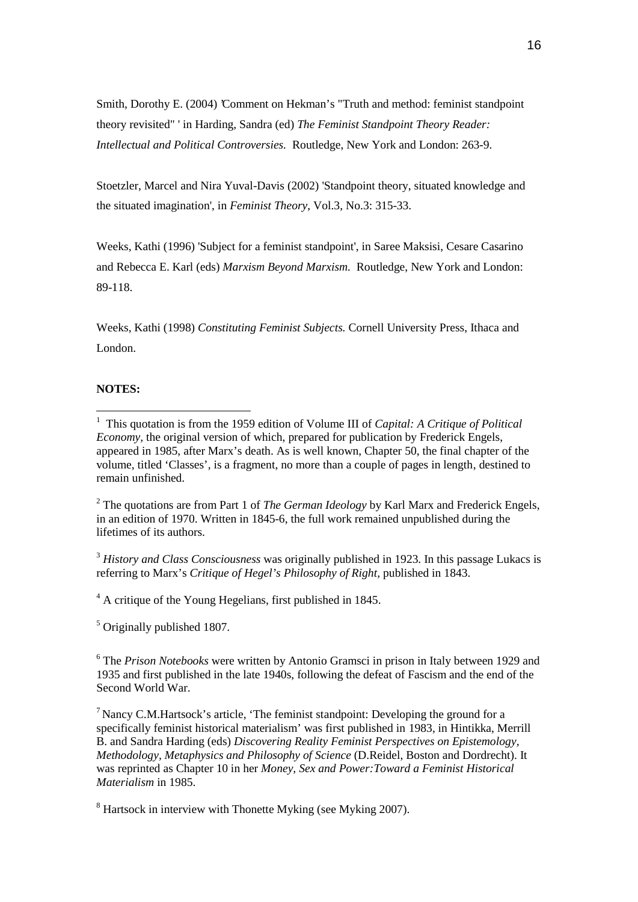Smith, Dorothy E. (2004) 'Comment on Hekman's "Truth and method: feminist standpoint theory revisited" ' in Harding, Sandra (ed) *The Feminist Standpoint Theory Reader: Intellectual and Political Controversies.* Routledge, New York and London: 263-9.

Stoetzler, Marcel and Nira Yuval-Davis (2002) 'Standpoint theory, situated knowledge and the situated imagination', in *Feminist Theory*, Vol.3, No.3: 315-33.

Weeks, Kathi (1996) 'Subject for a feminist standpoint', in Saree Maksisi, Cesare Casarino and Rebecca E. Karl (eds) *Marxism Beyond Marxism.* Routledge, New York and London: 89-118.

Weeks, Kathi (1998) *Constituting Feminist Subjects.* Cornell University Press, Ithaca and London.

# **NOTES:**

<sup>2</sup> The quotations are from Part 1 of *The German Ideology* by Karl Marx and Frederick Engels, in an edition of 1970. Written in 1845-6, the full work remained unpublished during the lifetimes of its authors.

<sup>3</sup> *History and Class Consciousness* was originally published in 1923. In this passage Lukacs is referring to Marx's *Critique of Hegel's Philosophy of Right,* published in 1843.

4 A critique of the Young Hegelians, first published in 1845.

<sup>5</sup> Originally published 1807.

6 The *Prison Notebooks* were written by Antonio Gramsci in prison in Italy between 1929 and 1935 and first published in the late 1940s, following the defeat of Fascism and the end of the Second World War.

 $<sup>7</sup>$  Nancy C.M.Hartsock's article, 'The feminist standpoint: Developing the ground for a</sup> specifically feminist historical materialism' was first published in 1983, in Hintikka, Merrill B. and Sandra Harding (eds) *Discovering Reality Feminist Perspectives on Epistemology, Methodology, Metaphysics and Philosophy of Science* (D.Reidel, Boston and Dordrecht). It was reprinted as Chapter 10 in her *Money, Sex and Power:Toward a Feminist Historical Materialism* in 1985.

<sup>8</sup> Hartsock in interview with Thonette Myking (see Myking 2007).

<sup>1</sup> This quotation is from the 1959 edition of Volume III of *Capital: A Critique of Political Economy,* the original version of which, prepared for publication by Frederick Engels, appeared in 1985, after Marx's death. As is well known, Chapter 50, the final chapter of the volume, titled 'Classes', is a fragment, no more than a couple of pages in length, destined to remain unfinished.